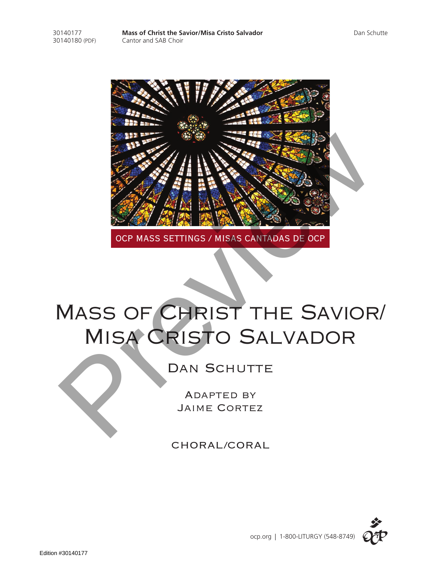

# Mass of Christ the Savior/ Misa Cristo Salvador

DAN SCHUTTE

Adapted by

CHORAL/CORAL

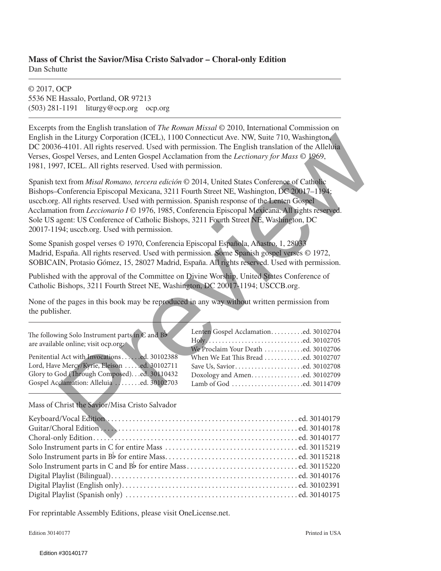### **Mass of Christ the Savior/Misa Cristo Salvador – Choral-only Edition** Dan Schutte

© 2017, OCP 5536 NE Hassalo, Portland, OR 97213 (503) 281-1191 liturgy@ocp.org ocp.org

Excerpts from the English translation of *The Roman Missal* © 2010, International Commission on English in the Liturgy Corporation (ICEL), 1100 Connecticut Ave. NW, Suite 710, Washington, DC 20036-4101. All rights reserved. Used with permission. The English translation of the Alleluia Verses, Gospel Verses, and Lenten Gospel Acclamation from the *Lectionary for Mass* © 1969, 1981, 1997, ICEL. All rights reserved. Used with permission.

| English in the Liturgy Corporation (ICEL), 1100 Connecticut Ave. NW, Suite 710, Washington,              |                                                                                                   |
|----------------------------------------------------------------------------------------------------------|---------------------------------------------------------------------------------------------------|
|                                                                                                          | DC 20036-4101. All rights reserved. Used with permission. The English translation of the Alleluia |
| Verses, Gospel Verses, and Lenten Gospel Acclamation from the Lectionary for Mass © 1969,                |                                                                                                   |
| 1981, 1997, ICEL. All rights reserved. Used with permission.                                             |                                                                                                   |
| Spanish text from Misal Romano, tercera edición © 2014, United States Conference of Catholic             |                                                                                                   |
| Bishops-Conferencia Episcopal Mexicana, 3211 Fourth Street NE, Washington, DC 20017-1194;                |                                                                                                   |
| usceb.org. All rights reserved. Used with permission. Spanish response of the Lenten Gospel              |                                                                                                   |
| Acclamation from <i>Leccionario I</i> © 1976, 1985, Conferencia Episcopal Mexicana. All rights reserved. |                                                                                                   |
| Sole US agent: US Conference of Catholic Bishops, 3211 Fourth Street NE, Washington, DC                  |                                                                                                   |
| 20017-1194; usecb.org. Used with permission.                                                             |                                                                                                   |
| Some Spanish gospel verses © 1970, Conferencia Episcopal Española, Añastro, 1, 28033                     |                                                                                                   |
| Madrid, España. All rights reserved. Used with permission. Some Spanish gospel verses © 1972,            |                                                                                                   |
| SOBICAIN, Protasio Gómez, 15, 28027 Madrid, España. All rights reserved. Used with permission.           |                                                                                                   |
| Published with the approval of the Committee on Divine Worship, United States Conference of              |                                                                                                   |
| Catholic Bishops, 3211 Fourth Street NE, Washington, DC 20017-1194; USCCB.org.                           |                                                                                                   |
|                                                                                                          |                                                                                                   |
| None of the pages in this book may be reproduced in any way without written permission from              |                                                                                                   |
| the publisher.                                                                                           |                                                                                                   |
|                                                                                                          |                                                                                                   |
| The following Solo Instrument parts in C and Bb                                                          | Lenten Gospel Acclamation. ed. 30102704                                                           |
| are available online; visit ocp.org:                                                                     |                                                                                                   |
|                                                                                                          | We Proclaim Your Death ed. 30102706                                                               |
| Penitential Act with Invocations ed. 30102388                                                            | When We Eat This Bread ed. 30102707                                                               |
| Lord, Have Mercy/Kyrie, Eleison  ed. 30102711                                                            |                                                                                                   |
| Glory to God (Through Composed). ed. 30110432                                                            | Doxology and Amened. 30102709                                                                     |
| Gospel Acclamation: Alleluia ed. 30102703                                                                |                                                                                                   |
|                                                                                                          |                                                                                                   |
| Mass of Christ the Savior/Misa Cristo Salvador                                                           |                                                                                                   |
|                                                                                                          |                                                                                                   |
|                                                                                                          |                                                                                                   |
| Choral only Edition                                                                                      | $\sim$ 30140177                                                                                   |

For reprintable Assembly Editions, please visit OneLicense.net.

Edition 30140177 Printed in USA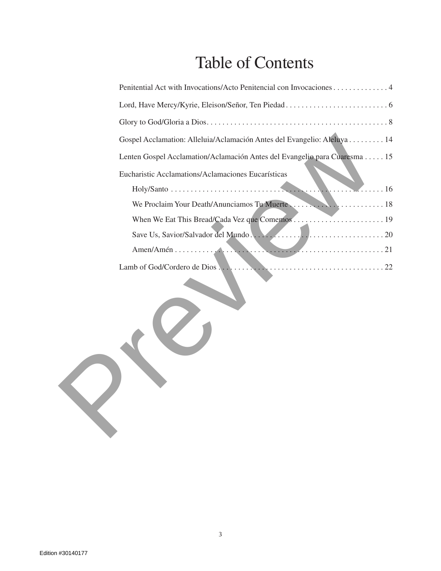# Table of Contents

| Penitential Act with Invocations/Acto Penitencial con Invocaciones 4      |
|---------------------------------------------------------------------------|
|                                                                           |
|                                                                           |
| Gospel Acclamation: Alleluia/Aclamación Antes del Evangelio: Aleluya 14   |
| Lenten Gospel Acclamation/Aclamación Antes del Evangelio para Cuaresma 15 |
| Eucharistic Acclamations/Aclamaciones Eucarísticas                        |
|                                                                           |
|                                                                           |
|                                                                           |
|                                                                           |
|                                                                           |
| Lamb of God/Cordero de Dios                                               |
|                                                                           |
|                                                                           |
|                                                                           |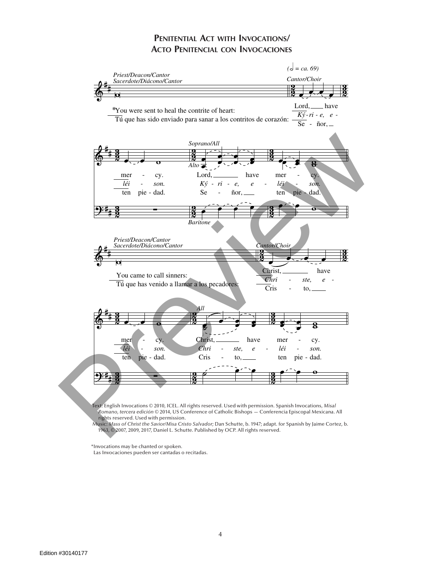# **Penitential Act with Invocations/ Acto Penitencial con Invocaciones**



\*Invocations may be chanted or spoken. Las Invocaciones pueden ser cantadas o recitadas.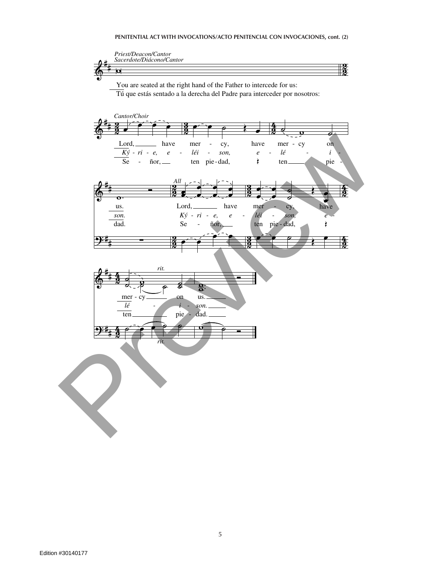#### **PENITENTIAL ACT WITH INVOCATIONS/ACTO PENITENCIAL CON INVOCACIONES, cont. (2)**

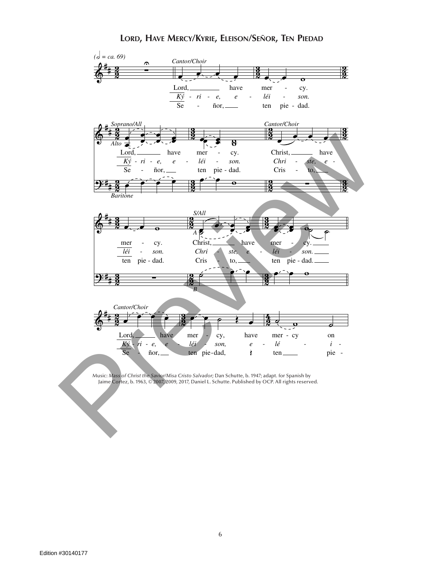



Music: *Mass of Christ the Savior/Misa Cristo Salvador;* Dan Schutte, b. 1947; adapt. for Spanish by Jaime Cortez, b. 1963, © 2007, 2009, 2017, Daniel L. Schutte. Published by OCP. All rights reserved.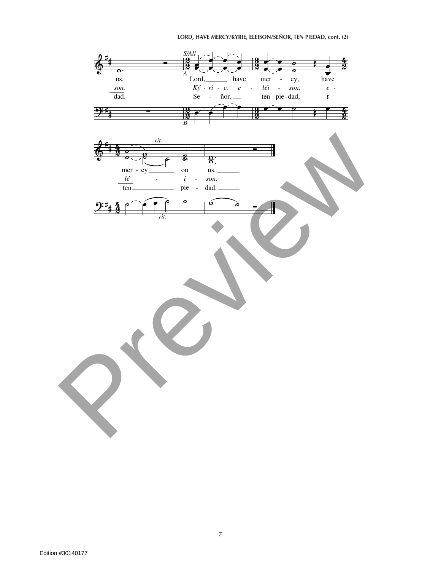

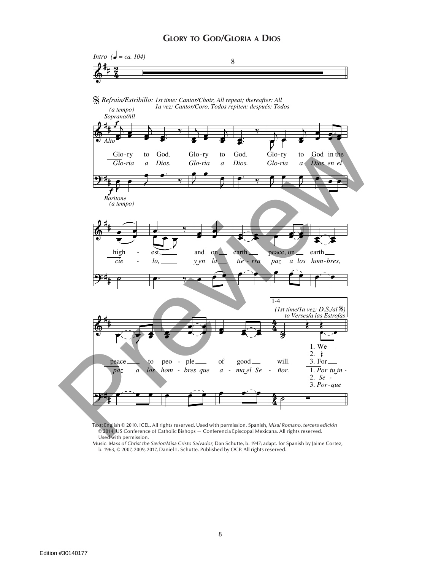# **Glory to God/Gloria a Dios**



Text: English © 2010, ICEL. All rights reserved. Used with permission. Spanish, *Misal Romano, tercera edición* © 2014, US Conference of Catholic Bishops — Conferencia Episcopal Mexicana. All rights reserved. Used with permission.

Music: *Mass of Christ the Savior/Misa Cristo Salvador;* Dan Schutte, b. 1947; adapt. for Spanish by Jaime Cortez, b. 1963, © 2007, 2009, 2017, Daniel L. Schutte. Published by OCP. All rights reserved.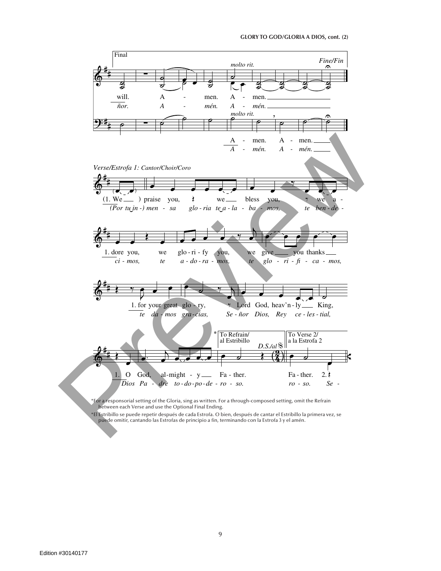

 $*$  For a responsorial setting of the Gloria, sing as written. For a through-composed setting, omit the Refrain between each Verse and use the Optional Final Ending.

\*El Estribillo se puede repetir después de cada Estrofa. O bien, después de cantar el Estribillo la primera vez, se puede omitir, cantando las Estrofas de principio a fin, terminando con la Estrofa 3 y el amén.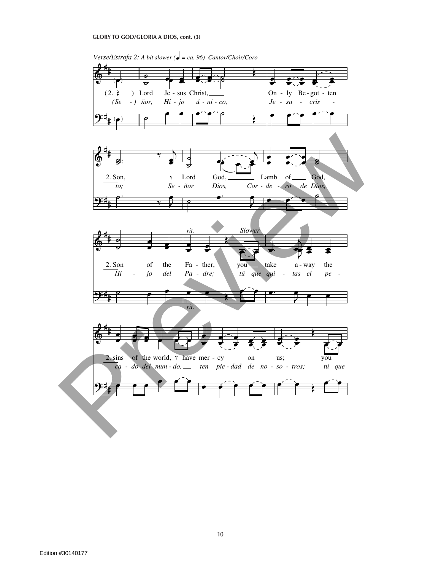#### **GLORY TO GOD/GLORIA A DIOS, cont. (3)**



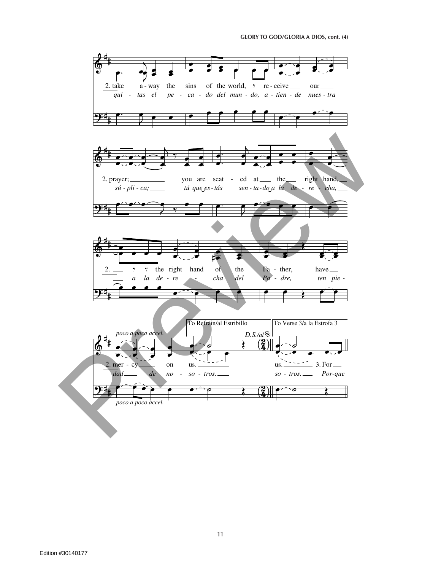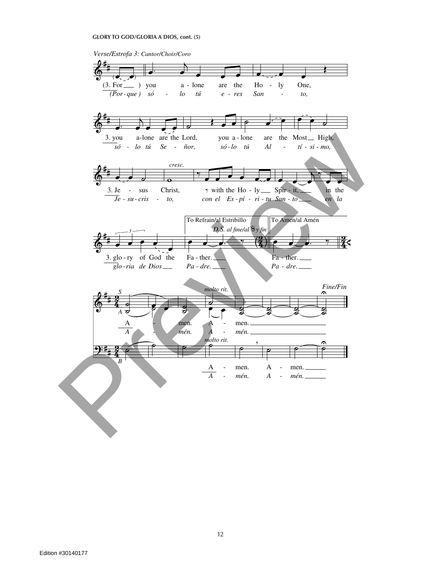**GLORY TO GOD/GLORIA A DIOS, cont. (5)**

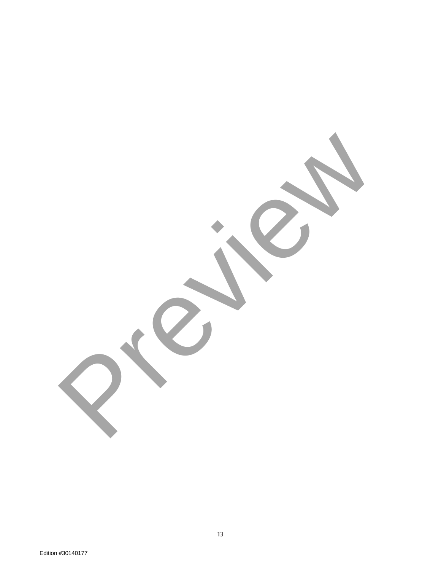Previews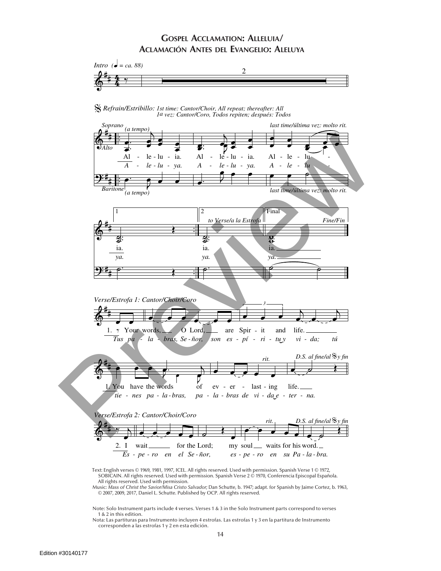## **Gospel Acclamation: Alleluia/ Aclamación Antes del Evangelio: Aleluya**



SOBICAIN. All rights reserved. Used with permission. Spanish Verse 2 © 1970, Conferencia Episcopal Española. All rights reserved. Used with permission.

Music: *Mass of Christ the Savior/Misa Cristo Salvador;* Dan Schutte, b. 1947; adapt. for Spanish by Jaime Cortez, b. 1963, © 2007, 2009, 2017, Daniel L. Schutte. Published by OCP. All rights reserved.

Note: Solo Instrument parts include 4 verses. Verses 1 & 3 in the Solo Instrument parts correspond to verses 1 & 2 in this edition.

Nota: Las partituras para Instrumento incluyen 4 estrofas. Las estrofas 1 y 3 en la partitura de Instrumento corresponden a las estrofas 1 y 2 en esta edición.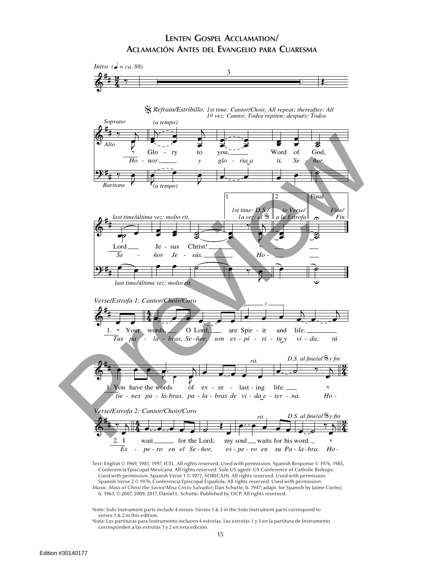# **Lenten Gospel Acclamation/ Aclamación Antes del Evangelio para Cuaresma**



Text: English © 1969, 1981, 1997, ICEL. All rights reserved. Used with permission. Spanish Response © 1976, 1985, Conferencia Episcopal Mexicana. All rights reserved. Sole US agent: US Conference of Catholic Bishops. Used with permission. Spanish Verse 1 © 1972, SOBICAIN. All rights reserved. Used with permission. Spanish Verse 2 © 1970, Conferencia Episcopal Española. All rights reserved. Used with permission.

Music: *Mass of Christ the Savior/Misa Cristo Salvador;* Dan Schutte, b. 1947; adapt. for Spanish by Jaime Cortez, b. 1963, © 2007, 2009, 2017, Daniel L. Schutte. Published by OCP. All rights reserved.

Note: Solo Instrument parts include 4 verses. Verses 1 & 3 in the Solo Instrument parts correspond to verses 1 & 2 in this edition.

Nota: Las partituras para Instrumento incluyen 4 estrofas. Las estrofas 1 y 3 en la partitura de Instrumento corresponden a las estrofas 1 y 2 en esta edición.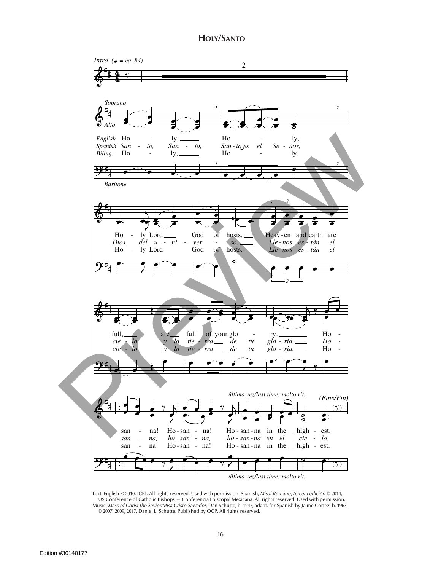

Text: English © 2010, ICEL. All rights reserved. Used with permission. Spanish, *Misal Romano, tercera edición* © 2014, US Conference of Catholic Bishops — Conferencia Episcopal Mexicana. All rights reserved. Used with permission.<br>Music: *Mass of Christ the Savior/Misa Cristo Salvador;* Dan Schutte, b. 1947; adapt. for Spanish by Jaime Cort © 2007, 2009, 2017, Daniel L. Schutte. Published by OCP. All rights reserved.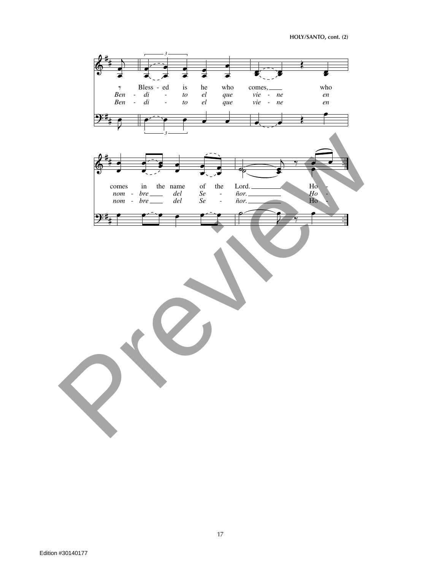**HOLY/SANTO, cont. (2)**

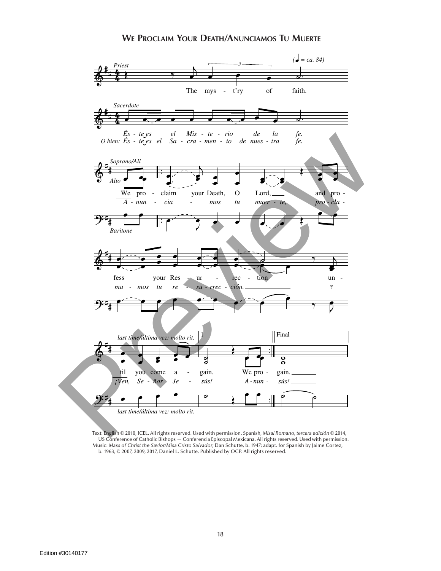

Text: English © 2010, ICEL. All rights reserved. Used with permission. Spanish, *Misal Romano, tercera edición* © 2014, US Conference of Catholic Bishops — Conferencia Episcopal Mexicana. All rights reserved. Used with permission. Music: *Mass of Christ the Savior/Misa Cristo Salvador;* Dan Schutte, b. 1947; adapt. for Spanish by Jaime Cortez, b. 1963, © 2007, 2009, 2017, Daniel L. Schutte. Published by OCP. All rights reserved.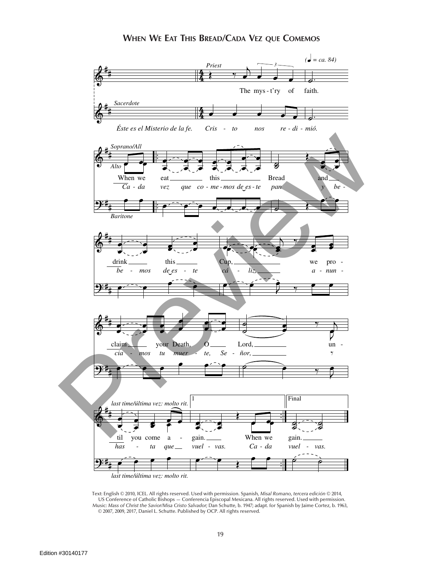**When We Eat This Bread/Cada Vez que Comemos**



Text: English © 2010, ICEL. All rights reserved. Used with permission. Spanish, *Misal Romano, tercera edición* © 2014, US Conference of Catholic Bishops — Conferencia Episcopal Mexicana. All rights reserved. Used with permission.<br>Music: *Mass of Christ the Savior/Misa Cristo Salvador;* Dan Schutte, b. 1947; adapt. for Spanish by Jaime Cort © 2007, 2009, 2017, Daniel L. Schutte. Published by OCP. All rights reserved.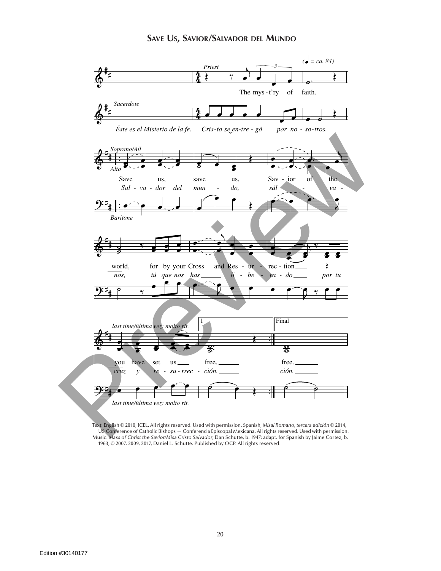

Text: English © 2010, ICEL. All rights reserved. Used with permission. Spanish, *Misal Romano, tercera edición* © 2014, US Conference of Catholic Bishops — Conferencia Episcopal Mexicana. All rights reserved. Used with permission. Music: *Mass of Christ the Savior/Misa Cristo Salvador;* Dan Schutte, b. 1947; adapt. for Spanish by Jaime Cortez, b. 1963, © 2007, 2009, 2017, Daniel L. Schutte. Published by OCP. All rights reserved.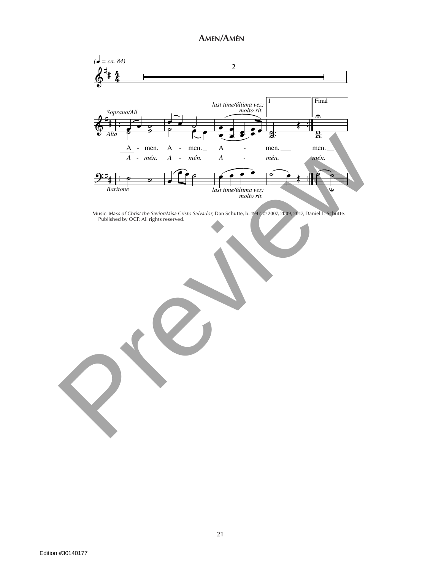

Music: *Mass of Christ the Savior/Misa Cristo Salvador;* Dan Schutte, b. 1947, © 2007, 2009, 2017, Daniel L. Schutte. Published by OCP. All rights reserved.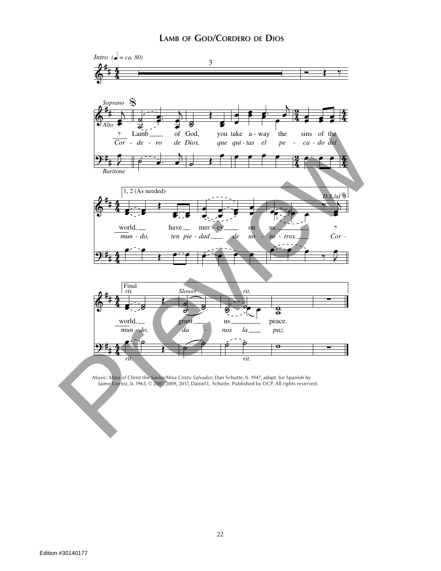

Music: *Mass of Christ the Savior/Misa Cristo Salvador;* Dan Schutte, b. 1947; adapt. for Spanish by Jaime Cortez, b. 1963, © 2007, 2009, 2017, Daniel L. Schutte. Published by OCP. All rights reserved.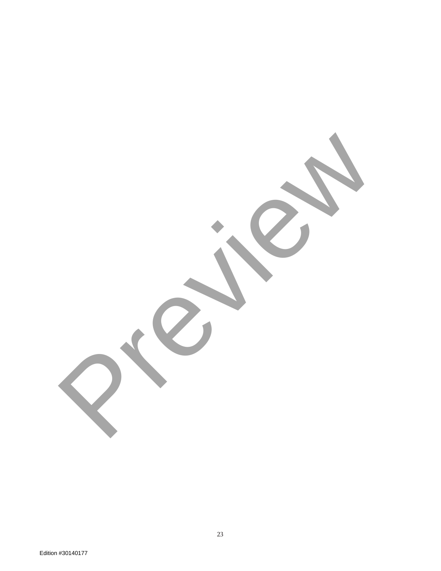Previews